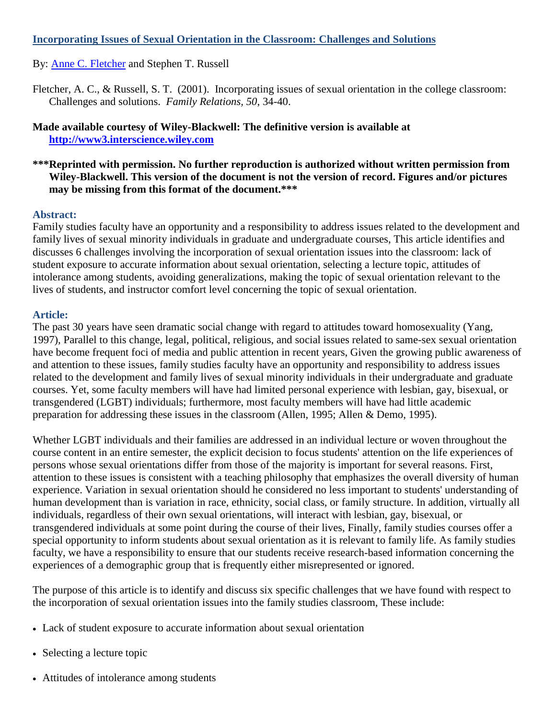### **Incorporating Issues of Sexual Orientation in the Classroom: Challenges and Solutions**

By: [Anne C. Fletcher](http://libres.uncg.edu/ir/uncg/clist.aspx?id=1352) and Stephen T. Russell

Fletcher, A. C., & Russell, S. T. (2001). Incorporating issues of sexual orientation in the college classroom: Challenges and solutions. *Family Relations, 50*, 34-40.

**Made available courtesy of Wiley-Blackwell: The definitive version is available at [http://www3.interscience.wiley.com](http://www3.interscience.wiley.com/)**

#### **\*\*\*Reprinted with permission. No further reproduction is authorized without written permission from Wiley-Blackwell. This version of the document is not the version of record. Figures and/or pictures may be missing from this format of the document.\*\*\***

#### **Abstract:**

Family studies faculty have an opportunity and a responsibility to address issues related to the development and family lives of sexual minority individuals in graduate and undergraduate courses, This article identifies and discusses 6 challenges involving the incorporation of sexual orientation issues into the classroom: lack of student exposure to accurate information about sexual orientation, selecting a lecture topic, attitudes of intolerance among students, avoiding generalizations, making the topic of sexual orientation relevant to the lives of students, and instructor comfort level concerning the topic of sexual orientation.

#### **Article:**

The past 30 years have seen dramatic social change with regard to attitudes toward homosexuality (Yang, 1997), Parallel to this change, legal, political, religious, and social issues related to same-sex sexual orientation have become frequent foci of media and public attention in recent years, Given the growing public awareness of and attention to these issues, family studies faculty have an opportunity and responsibility to address issues related to the development and family lives of sexual minority individuals in their undergraduate and graduate courses. Yet, some faculty members will have had limited personal experience with lesbian, gay, bisexual, or transgendered (LGBT) individuals; furthermore, most faculty members will have had little academic preparation for addressing these issues in the classroom (Allen, 1995; Allen & Demo, 1995).

Whether LGBT individuals and their families are addressed in an individual lecture or woven throughout the course content in an entire semester, the explicit decision to focus students' attention on the life experiences of persons whose sexual orientations differ from those of the majority is important for several reasons. First, attention to these issues is consistent with a teaching philosophy that emphasizes the overall diversity of human experience. Variation in sexual orientation should he considered no less important to students' understanding of human development than is variation in race, ethnicity, social class, or family structure. In addition, virtually all individuals, regardless of their own sexual orientations, will interact with lesbian, gay, bisexual, or transgendered individuals at some point during the course of their lives, Finally, family studies courses offer a special opportunity to inform students about sexual orientation as it is relevant to family life. As family studies faculty, we have a responsibility to ensure that our students receive research-based information concerning the experiences of a demographic group that is frequently either misrepresented or ignored.

The purpose of this article is to identify and discuss six specific challenges that we have found with respect to the incorporation of sexual orientation issues into the family studies classroom, These include:

- Lack of student exposure to accurate information about sexual orientation
- Selecting a lecture topic
- Attitudes of intolerance among students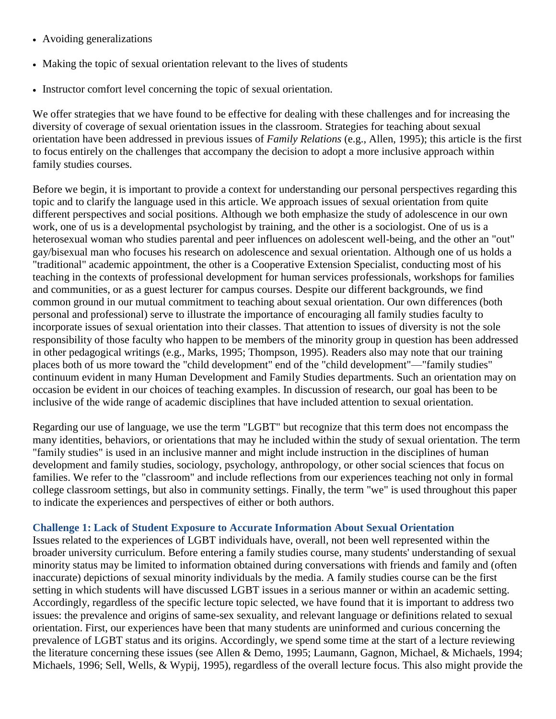- Avoiding generalizations
- Making the topic of sexual orientation relevant to the lives of students
- Instructor comfort level concerning the topic of sexual orientation.

We offer strategies that we have found to be effective for dealing with these challenges and for increasing the diversity of coverage of sexual orientation issues in the classroom. Strategies for teaching about sexual orientation have been addressed in previous issues of *Family Relations* (e.g., Allen, 1995); this article is the first to focus entirely on the challenges that accompany the decision to adopt a more inclusive approach within family studies courses.

Before we begin, it is important to provide a context for understanding our personal perspectives regarding this topic and to clarify the language used in this article. We approach issues of sexual orientation from quite different perspectives and social positions. Although we both emphasize the study of adolescence in our own work, one of us is a developmental psychologist by training, and the other is a sociologist. One of us is a heterosexual woman who studies parental and peer influences on adolescent well-being, and the other an "out" gay/bisexual man who focuses his research on adolescence and sexual orientation. Although one of us holds a "traditional" academic appointment, the other is a Cooperative Extension Specialist, conducting most of his teaching in the contexts of professional development for human services professionals, workshops for families and communities, or as a guest lecturer for campus courses. Despite our different backgrounds, we find common ground in our mutual commitment to teaching about sexual orientation. Our own differences (both personal and professional) serve to illustrate the importance of encouraging all family studies faculty to incorporate issues of sexual orientation into their classes. That attention to issues of diversity is not the sole responsibility of those faculty who happen to be members of the minority group in question has been addressed in other pedagogical writings (e.g., Marks, 1995; Thompson, 1995). Readers also may note that our training places both of us more toward the "child development" end of the "child development"—"family studies" continuum evident in many Human Development and Family Studies departments. Such an orientation may on occasion be evident in our choices of teaching examples. In discussion of research, our goal has been to be inclusive of the wide range of academic disciplines that have included attention to sexual orientation.

Regarding our use of language, we use the term "LGBT" but recognize that this term does not encompass the many identities, behaviors, or orientations that may he included within the study of sexual orientation. The term "family studies" is used in an inclusive manner and might include instruction in the disciplines of human development and family studies, sociology, psychology, anthropology, or other social sciences that focus on families. We refer to the "classroom" and include reflections from our experiences teaching not only in formal college classroom settings, but also in community settings. Finally, the term "we" is used throughout this paper to indicate the experiences and perspectives of either or both authors.

#### **Challenge 1: Lack of Student Exposure to Accurate Information About Sexual Orientation**

Issues related to the experiences of LGBT individuals have, overall, not been well represented within the broader university curriculum. Before entering a family studies course, many students' understanding of sexual minority status may be limited to information obtained during conversations with friends and family and (often inaccurate) depictions of sexual minority individuals by the media. A family studies course can be the first setting in which students will have discussed LGBT issues in a serious manner or within an academic setting. Accordingly, regardless of the specific lecture topic selected, we have found that it is important to address two issues: the prevalence and origins of same-sex sexuality, and relevant language or definitions related to sexual orientation. First, our experiences have been that many students are uninformed and curious concerning the prevalence of LGBT status and its origins. Accordingly, we spend some time at the start of a lecture reviewing the literature concerning these issues (see Allen & Demo, 1995; Laumann, Gagnon, Michael, & Michaels, 1994; Michaels, 1996; Sell, Wells, & Wypij, 1995), regardless of the overall lecture focus. This also might provide the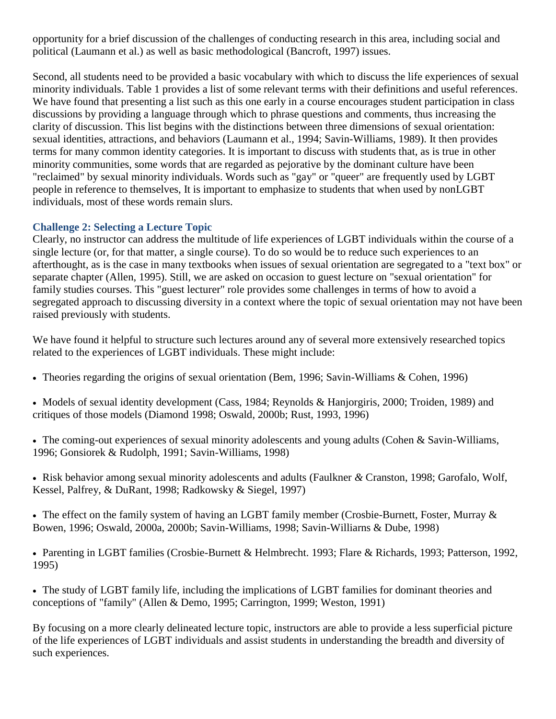opportunity for a brief discussion of the challenges of conducting research in this area, including social and political (Laumann et al.) as well as basic methodological (Bancroft, 1997) issues.

Second, all students need to be provided a basic vocabulary with which to discuss the life experiences of sexual minority individuals. Table 1 provides a list of some relevant terms with their definitions and useful references. We have found that presenting a list such as this one early in a course encourages student participation in class discussions by providing a language through which to phrase questions and comments, thus increasing the clarity of discussion. This list begins with the distinctions between three dimensions of sexual orientation: sexual identities, attractions, and behaviors (Laumann et al., 1994; Savin-Williams, 1989). It then provides terms for many common identity categories. It is important to discuss with students that, as is true in other minority communities, some words that are regarded as pejorative by the dominant culture have been "reclaimed" by sexual minority individuals. Words such as "gay" or "queer" are frequently used by LGBT people in reference to themselves, It is important to emphasize to students that when used by nonLGBT individuals, most of these words remain slurs.

## **Challenge 2: Selecting a Lecture Topic**

Clearly, no instructor can address the multitude of life experiences of LGBT individuals within the course of a single lecture (or, for that matter, a single course). To do so would be to reduce such experiences to an afterthought, as is the case in many textbooks when issues of sexual orientation are segregated to a "text box" or separate chapter (Allen, 1995). Still, we are asked on occasion to guest lecture on "sexual orientation" for family studies courses. This "guest lecturer" role provides some challenges in terms of how to avoid a segregated approach to discussing diversity in a context where the topic of sexual orientation may not have been raised previously with students.

We have found it helpful to structure such lectures around any of several more extensively researched topics related to the experiences of LGBT individuals. These might include:

- Theories regarding the origins of sexual orientation (Bem, 1996; Savin-Williams & Cohen, 1996)
- Models of sexual identity development (Cass, 1984; Reynolds & Hanjorgiris, 2000; Troiden, 1989) and critiques of those models (Diamond 1998; Oswald, 2000b; Rust, 1993, 1996)
- The coming-out experiences of sexual minority adolescents and young adults (Cohen & Savin-Williams, 1996; Gonsiorek & Rudolph, 1991; Savin-Williams, 1998)
- Risk behavior among sexual minority adolescents and adults (Faulkner *&* Cranston, 1998; Garofalo, Wolf, Kessel, Palfrey, & DuRant, 1998; Radkowsky & Siegel, 1997)

• The effect on the family system of having an LGBT family member (Crosbie-Burnett, Foster, Murray  $\&$ Bowen, 1996; Oswald, 2000a, 2000b; Savin-Williams, 1998; Savin-Williarns & Dube, 1998)

• Parenting in LGBT families (Crosbie-Burnett & Helmbrecht. 1993; Flare & Richards, 1993; Patterson, 1992, 1995)

 The study of LGBT family life, including the implications of LGBT families for dominant theories and conceptions of "family" (Allen & Demo, 1995; Carrington, 1999; Weston, 1991)

By focusing on a more clearly delineated lecture topic, instructors are able to provide a less superficial picture of the life experiences of LGBT individuals and assist students in understanding the breadth and diversity of such experiences.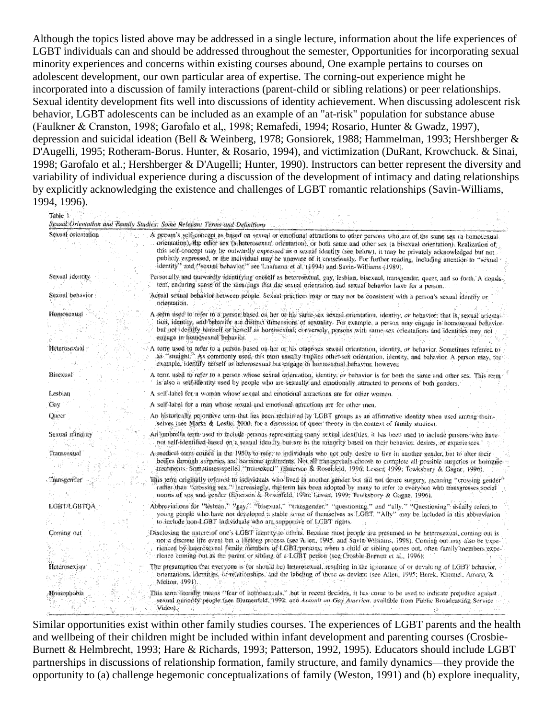Although the topics listed above may be addressed in a single lecture, information about the life experiences of LGBT individuals can and should be addressed throughout the semester, Opportunities for incorporating sexual minority experiences and concerns within existing courses abound, One example pertains to courses on adolescent development, our own particular area of expertise. The corning-out experience might he incorporated into a discussion of family interactions (parent-child or sibling relations) or peer relationships. Sexual identity development fits well into discussions of identity achievement. When discussing adolescent risk behavior, LGBT adolescents can be included as an example of an "at-risk" population for substance abuse (Faulkner & Cranston, 1998; Garofalo et al., 1998; Remafedi, 1994; Rosario, Hunter & Gwadz, 1997), depression and suicidal ideation (Bell & Weinberg, 1978; Gonsiorek, 1988; Hammelman, 1993; Hershberger & D'Augelli, 1995; Rotheram-Borus. Hunter, & Rosario, 1994), and victimization (DuRant, Krowchuck. & Sinai, 1998; Garofalo et al.; Hershberger & D'Augelli; Hunter, 1990). Instructors can better represent the diversity and variability of individual experience during a discussion of the development of intimacy and dating relationships by explicitly acknowledging the existence and challenges of LGBT romantic relationships (Savin-Williams, 1994, 1996).<br>Demografi industrial de la provincia de la provincia de la provincia de la provincia de la provincia de la pro **2012年1月1日 第1日 副部長** 

| Sexual orientation | A person's self-concept as based on sexual or emotional attractions to other persons who are of the same sex (a homosexual<br>orientation), the other sex (a heterosexual orientation), or both same and other sex (a bisexual orientation). Realization of<br>this self-concept may be outwardly expressed as a sexual identity (see below), it may be privately acknowledged but not<br>publicly expressed, or the individual may be unaware of it consciously. For further reading, including attention to "sexual"<br>identity <sup>18</sup> and <sup>46</sup> sexual behavior, <sup>28</sup> see Laumann et al. (1994) and Savin-Williams (1989). |
|--------------------|--------------------------------------------------------------------------------------------------------------------------------------------------------------------------------------------------------------------------------------------------------------------------------------------------------------------------------------------------------------------------------------------------------------------------------------------------------------------------------------------------------------------------------------------------------------------------------------------------------------------------------------------------------|
| Sexual identity    | Personally and outwardly identifying oneself as beterosexual, gay, lesbian, bisexual, transgender, queer, and so forth, A consis-<br>tent, enduring sense of the meanings that the sexual orientation and sexual behavior have for a person.                                                                                                                                                                                                                                                                                                                                                                                                           |
| Sexual behavior    | Actual sexual behavior between people. Sexual practices may or may not be consistent with a person's sexual identity or<br>onentation.                                                                                                                                                                                                                                                                                                                                                                                                                                                                                                                 |
| Homosexual         | A term used to refer to a person based on her or his same sex sexual orientation, identity, or behavior; that is, sexual orientas,<br>tion, identity, and behavior are distinct dimensions of sexuality. For example, a person may engage in homosoxual behavior-<br>but not identify himself or herself as homesexual, conversely, persons with same-sex orientations and identifies may not<br>eneage in homosexual behavior.                                                                                                                                                                                                                        |
| Heterosexual       | A term used to refer to a person based on her or his other sex sexual orientation, identity, or behavior. Sometimes referred to<br>as "straight." As commonly used, this term usually implies other sex orientation, identity, and behavior. A person may, for<br>example, identify herself as helorosexual but engage in homosexual behavior, however,                                                                                                                                                                                                                                                                                                |
| <b>Bisexual</b>    | A term used to refer to a person whose sexual orientation, identity, or behavior is for both the same and other sex. This term<br>is also a self-identity used by people who are sexually and emotionally attracted to persons of both genders.                                                                                                                                                                                                                                                                                                                                                                                                        |
| Lesbian            | A self-fabel for a woman whose sexual and emotional auractions are for other women.                                                                                                                                                                                                                                                                                                                                                                                                                                                                                                                                                                    |
| Gay                | A self-label for a man whose sexual and emotional attractions are for other men.                                                                                                                                                                                                                                                                                                                                                                                                                                                                                                                                                                       |
| Oueer              | An historically pejorative term that has been reclaimed by LGBT groups as an affirmative identity when used among them-<br>selves (see Marks & Leslie, 2000, for a discussion of queer theory in the context of family studies).                                                                                                                                                                                                                                                                                                                                                                                                                       |
| Sexual minority    | An umbrella term used to include persons representing many sexual identities; it has been used to include persons who have<br>not self-identified based on a sexual identity but are in the minority based on their behavior, desires, or experiences,                                                                                                                                                                                                                                                                                                                                                                                                 |
| Transsexual        | A medical term council in the 1950s to refer to individuals who not only desire to live in another gender, but to alter their<br>bodies through surgeries and hormone treatments. Not all transsexuals choose to complete all possible surgeries or hormone<br>treatments. Sometimes spelled "fransexual" (Enterson & Rosenfeld, 1996; Lesser, 1999; Tewksbury & Gagne, 1996).                                                                                                                                                                                                                                                                         |
| Transgerider       | This to m originally referred to individuals who lived in another gender but did not desire surgery, meaning "crossing gender"<br>rather than "crossing sex." Increasingly, the term has been adopted by many to refer to everyone who transgresses social<br>norms of sex and gender (Emerson & Resented, 1996; Lesser, 1999; Tewksbury & Gagne, 1996).                                                                                                                                                                                                                                                                                               |
| LGBT/LGBTQA        | Abbreviations for "lesbian," "gay," "bisexual," "transgender," "questioning," and "ally." "Questioning" usually refers to<br>young people who have not developed a stable sense of themselves as LGBT, "Ally" may be included in this abbreviation<br>to include non-LGBT individuals who are supportive of LGBT rights.                                                                                                                                                                                                                                                                                                                               |
| Coming out         | Disclosing the nature of one's LGBT identity to others. Because most people are presumed to be heterosexual, coming out is<br>not a discrete life event but a lifelong process (see Allen, 1995, and Savin-Williams, 1998). Coming out may also be expe-<br>rienced by heterosexual family members of LCBT persons; when a child or sibling comes out, often family members expe-<br>rience coming out as the parint or sibling of a LGBT person (see Crosble-Burnett et al., 1996).                                                                                                                                                                   |
| Heterosexism       | The presumption that everyone is (or should be) heterosexual, resulting in the ignorance of or devaluing of LGBT behavior.<br>orientations, identities, or relationships, and the labeling of these as deviant (see Allen, 1995; Herek, Kimmel, Amaro, &<br>Melton, 1991).                                                                                                                                                                                                                                                                                                                                                                             |
| Homophobia         | This term literally means "fear of homosexuals," but in recent decades, it has come to be used to indicate prejudice against<br>sexual minority people (see Blumenfeld, 1992, and Assault on Gay America, available from Fublic Broadcasting Service<br>Video).                                                                                                                                                                                                                                                                                                                                                                                        |

Similar opportunities exist within other family studies courses. The experiences of LGBT parents and the health and wellbeing of their children might be included within infant development and parenting courses (Crosbie-Burnett & Helmbrecht, 1993; Hare & Richards, 1993; Patterson, 1992, 1995). Educators should include LGBT partnerships in discussions of relationship formation, family structure, and family dynamics—they provide the opportunity to (a) challenge hegemonic conceptualizations of family (Weston, 1991) and (b) explore inequality,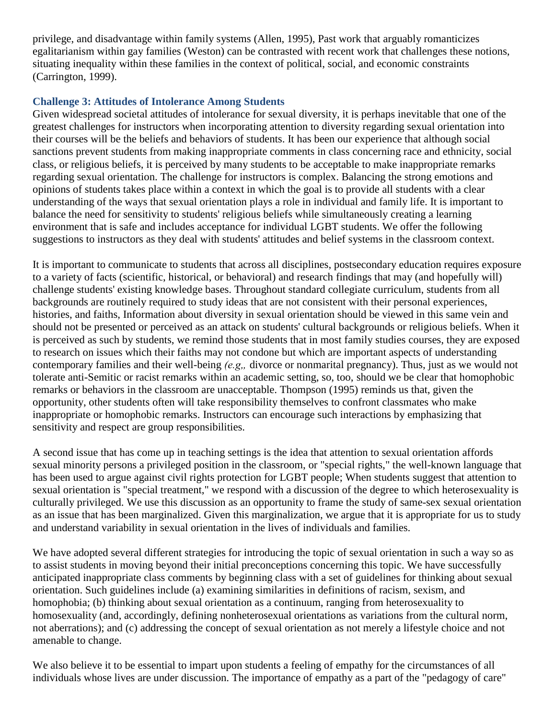privilege, and disadvantage within family systems (Allen, 1995), Past work that arguably romanticizes egalitarianism within gay families (Weston) can be contrasted with recent work that challenges these notions, situating inequality within these families in the context of political, social, and economic constraints (Carrington, 1999).

### **Challenge 3: Attitudes of Intolerance Among Students**

Given widespread societal attitudes of intolerance for sexual diversity, it is perhaps inevitable that one of the greatest challenges for instructors when incorporating attention to diversity regarding sexual orientation into their courses will be the beliefs and behaviors of students. It has been our experience that although social sanctions prevent students from making inappropriate comments in class concerning race and ethnicity, social class, or religious beliefs, it is perceived by many students to be acceptable to make inappropriate remarks regarding sexual orientation. The challenge for instructors is complex. Balancing the strong emotions and opinions of students takes place within a context in which the goal is to provide all students with a clear understanding of the ways that sexual orientation plays a role in individual and family life. It is important to balance the need for sensitivity to students' religious beliefs while simultaneously creating a learning environment that is safe and includes acceptance for individual LGBT students. We offer the following suggestions to instructors as they deal with students' attitudes and belief systems in the classroom context.

It is important to communicate to students that across all disciplines, postsecondary education requires exposure to a variety of facts (scientific, historical, or behavioral) and research findings that may (and hopefully will) challenge students' existing knowledge bases. Throughout standard collegiate curriculum, students from all backgrounds are routinely required to study ideas that are not consistent with their personal experiences, histories, and faiths, Information about diversity in sexual orientation should be viewed in this same vein and should not be presented or perceived as an attack on students' cultural backgrounds or religious beliefs. When it is perceived as such by students, we remind those students that in most family studies courses, they are exposed to research on issues which their faiths may not condone but which are important aspects of understanding contemporary families and their well-being *(e.g., divorce or nonmarital pregnancy)*. Thus, just as we would not tolerate anti-Semitic or racist remarks within an academic setting, so, too, should we be clear that homophobic remarks or behaviors in the classroom are unacceptable. Thompson (1995) reminds us that, given the opportunity, other students often will take responsibility themselves to confront classmates who make inappropriate or homophobic remarks. Instructors can encourage such interactions by emphasizing that sensitivity and respect are group responsibilities.

A second issue that has come up in teaching settings is the idea that attention to sexual orientation affords sexual minority persons a privileged position in the classroom, or "special rights," the well-known language that has been used to argue against civil rights protection for LGBT people; When students suggest that attention to sexual orientation is "special treatment," we respond with a discussion of the degree to which heterosexuality is culturally privileged. We use this discussion as an opportunity to frame the study of same-sex sexual orientation as an issue that has been marginalized. Given this marginalization, we argue that it is appropriate for us to study and understand variability in sexual orientation in the lives of individuals and families.

We have adopted several different strategies for introducing the topic of sexual orientation in such a way so as to assist students in moving beyond their initial preconceptions concerning this topic. We have successfully anticipated inappropriate class comments by beginning class with a set of guidelines for thinking about sexual orientation. Such guidelines include (a) examining similarities in definitions of racism, sexism, and homophobia; (b) thinking about sexual orientation as a continuum, ranging from heterosexuality to homosexuality (and, accordingly, defining nonheterosexual orientations as variations from the cultural norm, not aberrations); and (c) addressing the concept of sexual orientation as not merely a lifestyle choice and not amenable to change.

We also believe it to be essential to impart upon students a feeling of empathy for the circumstances of all individuals whose lives are under discussion. The importance of empathy as a part of the "pedagogy of care"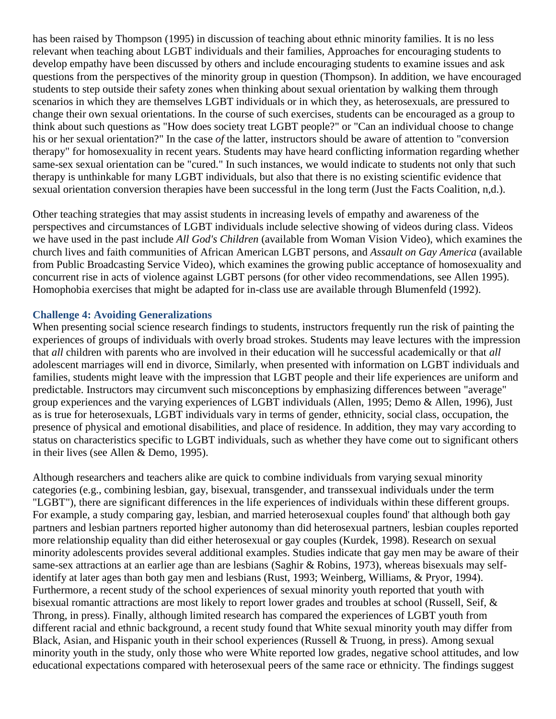has been raised by Thompson (1995) in discussion of teaching about ethnic minority families. It is no less relevant when teaching about LGBT individuals and their families, Approaches for encouraging students to develop empathy have been discussed by others and include encouraging students to examine issues and ask questions from the perspectives of the minority group in question (Thompson). In addition, we have encouraged students to step outside their safety zones when thinking about sexual orientation by walking them through scenarios in which they are themselves LGBT individuals or in which they, as heterosexuals, are pressured to change their own sexual orientations. In the course of such exercises, students can be encouraged as a group to think about such questions as "How does society treat LGBT people?" or "Can an individual choose to change his or her sexual orientation?" In the case *of* the latter, instructors should be aware of attention to "conversion therapy" for homosexuality in recent years. Students may have heard conflicting information regarding whether same-sex sexual orientation can be "cured." In such instances, we would indicate to students not only that such therapy is unthinkable for many LGBT individuals, but also that there is no existing scientific evidence that sexual orientation conversion therapies have been successful in the long term (Just the Facts Coalition, n,d.).

Other teaching strategies that may assist students in increasing levels of empathy and awareness of the perspectives and circumstances of LGBT individuals include selective showing of videos during class. Videos we have used in the past include *All God's Children* (available from Woman Vision Video), which examines the church lives and faith communities of African American LGBT persons, and *Assault on Gay America* (available from Public Broadcasting Service Video), which examines the growing public acceptance of homosexuality and concurrent rise in acts of violence against LGBT persons (for other video recommendations, see Allen 1995). Homophobia exercises that might be adapted for in-class use are available through Blumenfeld (1992).

#### **Challenge 4: Avoiding Generalizations**

When presenting social science research findings to students, instructors frequently run the risk of painting the experiences of groups of individuals with overly broad strokes. Students may leave lectures with the impression that *all* children with parents who are involved in their education will he successful academically or that *all*  adolescent marriages will end in divorce, Similarly, when presented with information on LGBT individuals and families, students might leave with the impression that LGBT people and their life experiences are uniform and predictable. Instructors may circumvent such misconceptions by emphasizing differences between "average" group experiences and the varying experiences of LGBT individuals (Allen, 1995; Demo & Allen, 1996), Just as is true for heterosexuals, LGBT individuals vary in terms of gender, ethnicity, social class, occupation, the presence of physical and emotional disabilities, and place of residence. In addition, they may vary according to status on characteristics specific to LGBT individuals, such as whether they have come out to significant others in their lives (see Allen & Demo, 1995).

Although researchers and teachers alike are quick to combine individuals from varying sexual minority categories (e.g., combining lesbian, gay, bisexual, transgender, and transsexual individuals under the term "LGBT"), there are significant differences in the life experiences of individuals within these different groups. For example, a study comparing gay, lesbian, and married heterosexual couples found' that although both gay partners and lesbian partners reported higher autonomy than did heterosexual partners, lesbian couples reported more relationship equality than did either heterosexual or gay couples (Kurdek, 1998). Research on sexual minority adolescents provides several additional examples. Studies indicate that gay men may be aware of their same-sex attractions at an earlier age than are lesbians (Saghir & Robins, 1973), whereas bisexuals may selfidentify at later ages than both gay men and lesbians (Rust, 1993; Weinberg, Williams, & Pryor, 1994). Furthermore, a recent study of the school experiences of sexual minority youth reported that youth with bisexual romantic attractions are most likely to report lower grades and troubles at school (Russell, Seif, & Throng, in press). Finally, although limited research has compared the experiences of LGBT youth from different racial and ethnic background, a recent study found that White sexual minority youth may differ from Black, Asian, and Hispanic youth in their school experiences (Russell & Truong, in press). Among sexual minority youth in the study, only those who were White reported low grades, negative school attitudes, and low educational expectations compared with heterosexual peers of the same race or ethnicity. The findings suggest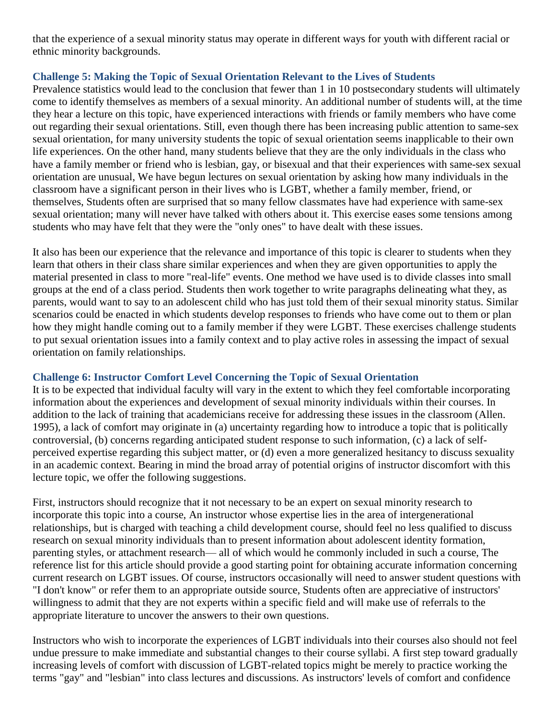that the experience of a sexual minority status may operate in different ways for youth with different racial or ethnic minority backgrounds.

# **Challenge 5: Making the Topic of Sexual Orientation Relevant to the Lives of Students**

Prevalence statistics would lead to the conclusion that fewer than 1 in 10 postsecondary students will ultimately come to identify themselves as members of a sexual minority. An additional number of students will, at the time they hear a lecture on this topic, have experienced interactions with friends or family members who have come out regarding their sexual orientations. Still, even though there has been increasing public attention to same-sex sexual orientation, for many university students the topic of sexual orientation seems inapplicable to their own life experiences. On the other hand, many students believe that they are the only individuals in the class who have a family member or friend who is lesbian, gay, or bisexual and that their experiences with same-sex sexual orientation are unusual, We have begun lectures on sexual orientation by asking how many individuals in the classroom have a significant person in their lives who is LGBT, whether a family member, friend, or themselves, Students often are surprised that so many fellow classmates have had experience with same-sex sexual orientation; many will never have talked with others about it. This exercise eases some tensions among students who may have felt that they were the "only ones" to have dealt with these issues.

It also has been our experience that the relevance and importance of this topic is clearer to students when they learn that others in their class share similar experiences and when they are given opportunities to apply the material presented in class to more "real-life" events. One method we have used is to divide classes into small groups at the end of a class period. Students then work together to write paragraphs delineating what they, as parents, would want to say to an adolescent child who has just told them of their sexual minority status. Similar scenarios could be enacted in which students develop responses to friends who have come out to them or plan how they might handle coming out to a family member if they were LGBT. These exercises challenge students to put sexual orientation issues into a family context and to play active roles in assessing the impact of sexual orientation on family relationships.

## **Challenge 6: Instructor Comfort Level Concerning the Topic of Sexual Orientation**

It is to be expected that individual faculty will vary in the extent to which they feel comfortable incorporating information about the experiences and development of sexual minority individuals within their courses. In addition to the lack of training that academicians receive for addressing these issues in the classroom (Allen. 1995), a lack of comfort may originate in (a) uncertainty regarding how to introduce a topic that is politically controversial, (b) concerns regarding anticipated student response to such information, (c) a lack of selfperceived expertise regarding this subject matter, or (d) even a more generalized hesitancy to discuss sexuality in an academic context. Bearing in mind the broad array of potential origins of instructor discomfort with this lecture topic, we offer the following suggestions.

First, instructors should recognize that it not necessary to be an expert on sexual minority research to incorporate this topic into a course, An instructor whose expertise lies in the area of intergenerational relationships, but is charged with teaching a child development course, should feel no less qualified to discuss research on sexual minority individuals than to present information about adolescent identity formation, parenting styles, or attachment research— all of which would he commonly included in such a course, The reference list for this article should provide a good starting point for obtaining accurate information concerning current research on LGBT issues. Of course, instructors occasionally will need to answer student questions with "I don't know" or refer them to an appropriate outside source, Students often are appreciative of instructors' willingness to admit that they are not experts within a specific field and will make use of referrals to the appropriate literature to uncover the answers to their own questions.

Instructors who wish to incorporate the experiences of LGBT individuals into their courses also should not feel undue pressure to make immediate and substantial changes to their course syllabi. A first step toward gradually increasing levels of comfort with discussion of LGBT-related topics might be merely to practice working the terms "gay" and "lesbian" into class lectures and discussions. As instructors' levels of comfort and confidence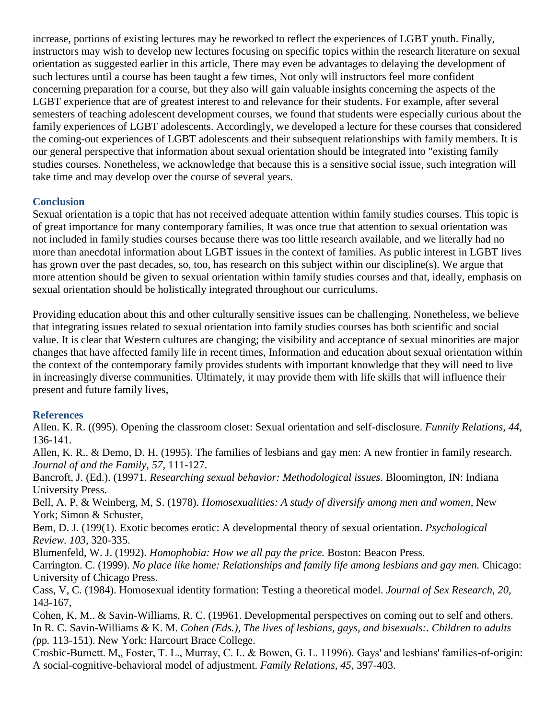increase, portions of existing lectures may be reworked to reflect the experiences of LGBT youth. Finally, instructors may wish to develop new lectures focusing on specific topics within the research literature on sexual orientation as suggested earlier in this article, There may even be advantages to delaying the development of such lectures until a course has been taught a few times, Not only will instructors feel more confident concerning preparation for a course, but they also will gain valuable insights concerning the aspects of the LGBT experience that are of greatest interest to and relevance for their students. For example, after several semesters of teaching adolescent development courses, we found that students were especially curious about the family experiences of LGBT adolescents. Accordingly, we developed a lecture for these courses that considered the coming-out experiences of LGBT adolescents and their subsequent relationships with family members. It is our general perspective that information about sexual orientation should be integrated into "existing family studies courses. Nonetheless, we acknowledge that because this is a sensitive social issue, such integration will take time and may develop over the course of several years.

## **Conclusion**

Sexual orientation is a topic that has not received adequate attention within family studies courses. This topic is of great importance for many contemporary families, It was once true that attention to sexual orientation was not included in family studies courses because there was too little research available, and we literally had no more than anecdotal information about LGBT issues in the context of families. As public interest in LGBT lives has grown over the past decades, so, too, has research on this subject within our discipline(s). We argue that more attention should be given to sexual orientation within family studies courses and that, ideally, emphasis on sexual orientation should be holistically integrated throughout our curriculums.

Providing education about this and other culturally sensitive issues can be challenging. Nonetheless, we believe that integrating issues related to sexual orientation into family studies courses has both scientific and social value. It is clear that Western cultures are changing; the visibility and acceptance of sexual minorities are major changes that have affected family life in recent times, Information and education about sexual orientation within the context of the contemporary family provides students with important knowledge that they will need to live in increasingly diverse communities. Ultimately, it may provide them with life skills that will influence their present and future family lives,

#### **References**

Allen. K. R. ((995). Opening the classroom closet: Sexual orientation and self-disclosure. *Funnily Relations, 44,*  136-141.

Allen, K. R.. & Demo, D. H. (1995). The families of lesbians and gay men: A new frontier in family research. *Journal of and the Family, 57,* 111*-*127.

Bancroft, J. (Ed.). (19971. *Researching sexual behavior: Methodological issues.* Bloomington, IN: Indiana University Press.

Bell, A. P. & Weinberg, M, S. (1978). *Homosexualities: A study of diversify among men and women,* New York; Simon & Schuster,

Bem, D. J. (199(1). Exotic becomes erotic: A developmental theory of sexual orientation. *Psychological Review. 103,* 320-335.

Blumenfeld, W. J. (1992). *Homophobia: How we all pay the price.* Boston: Beacon Press.

Carrington. C. (1999). *No place like home: Relationships and family life among lesbians and gay men.* Chicago: University of Chicago Press.

Cass, V, C. (1984). Homosexual identity formation: Testing a theoretical model. *Journal of Sex Research, 20,*  143-167,

Cohen, K, M.. & Savin-Williams, R. C. (19961. Developmental perspectives on coming out to self and others. In R. C. Savin-Williams *&* K. M. *Cohen (Eds.), The lives of lesbians, gays, and bisexuals:. Children to adults (*pp*.* 113-151). New York: Harcourt Brace College.

Crosbic-Burnett. M., Foster, T. L., Murray, C. I.. & Bowen, G. L. 11996). Gays' and lesbians' families-of-origin: A social-cognitive-behavioral model of adjustment. *Family Relations, 45,* 397-403.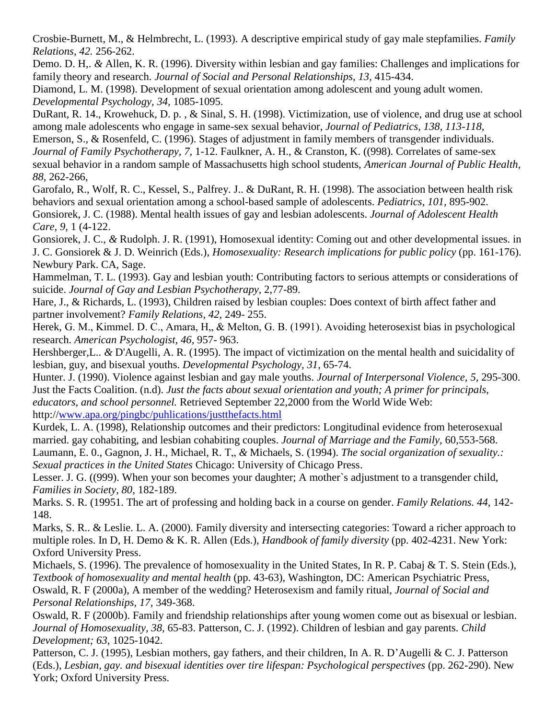Crosbie-Burnett, M., & Helmbrecht, L. (1993). A descriptive empirical study of gay male stepfamilies. *Family Relations, 42.* 256-262.

Demo. D. H,. *&* Allen, K. R. (1996). Diversity within lesbian and gay families: Challenges and implications for family theory and research. *Journal of Social and Personal Relationships, 13,* 415-434.

Diamond, L. M. (1998). Development of sexual orientation among adolescent and young adult women. *Developmental Psychology, 34,* 1085-1095.

DuRant, R. 14., Krowehuck, D. p. , & Sinal, S. H. (1998). Victimization, use of violence, and drug use at school among male adolescents who engage in same-sex sexual behavior, *Journal of Pediatrics, 138, 113-118,*

Emerson, S., & Rosenfeld, C. (1996). Stages of adjustment in family members of transgender individuals. *Journal of Family Psychotherapy, 7,* 1-12. Faulkner, A. H., & Cranston, K. ((998). Correlates of same-sex sexual behavior in a random sample of Massachusetts high school students, *American Journal of Public Health, 88,* 262-266,

Garofalo, R., Wolf, R. C., Kessel, S., Palfrey. J.. & DuRant, R. H. (1998). The association between health risk behaviors and sexual orientation among a school-based sample of adolescents. *Pediatrics, 101,* 895-902. Gonsiorek, J. C. (1988). Mental health issues of gay and lesbian adolescents. *Journal of Adolescent Health Care, 9,* 1 (4-122.

Gonsiorek, J. C., *&* Rudolph. J. R. (1991), Homosexual identity: Coming out and other developmental issues. in J. C. Gonsiorek & J. D. Weinrich (Eds.), *Homosexuality: Research implications for public policy* (pp. 161-176). Newbury Park. CA, Sage.

Hammelman, T. L. (1993). Gay and lesbian youth: Contributing factors to serious attempts or considerations of suicide. *Journal of Gay and Lesbian Psychotherapy,* 2,77-89.

Hare, J., & Richards, L. (1993), Children raised by lesbian couples: Does context of birth affect father and partner involvement? *Family Relations, 42,* 249- 255.

Herek, G. M., Kimmel. D. C., Amara, H., & Melton, G. B. (1991). Avoiding heterosexist bias in psychological research. *American Psychologist, 46,* 957- 963.

Hershberger,L.. *&* D'Augelli, A. R. (1995). The impact of victimization on the mental health and suicidality of lesbian, guy, and bisexual youths. *Developmental Psychology, 31,* 65-74.

Hunter. J. (1990). Violence against lesbian and gay male youths. *Journal of Interpersonal Violence, 5,* 295-300. Just the Facts Coalition. (n.d). *Just the facts about sexual orientation and youth; A primer for principals, educators, and school personnel.* Retrieved September 22,2000 from the World Wide Web: http:/[/www.apa.org/pingbc/puhlicat](http://www.apa.org/pingbc/puhlica-tions/justthefacts.html)ions/justthefacts.html

Kurdek, L. A. (1998), Relationship outcomes and their predictors: Longitudinal evidence from heterosexual married. gay cohabiting, and lesbian cohabiting couples. *Journal of Marriage and the Family,* 60,553-568. Laumann, E. O., Gagnon, J. H., Michael, R. T., & Michaels, S. (1994). *The social organization of sexuality.: Sexual practices in the United States* Chicago: University of Chicago Press.

Lesser. J. G. ((999). When your son becomes your daughter; A mother`s adjustment to a transgender child, *Families in Society, 80,* 182-189.

Marks. S. R. (19951. The art of professing and holding back in a course on gender. *Family Relations. 44,* 142- 148.

Marks, S. R.. & Leslie. L. A. (2000). Family diversity and intersecting categories: Toward a richer approach to multiple roles. In D, H. Demo & K. R. Allen (Eds.), *Handbook of family diversity* (pp. 402-4231. New York: Oxford University Press.

Michaels, S. (1996). The prevalence of homosexuality in the United States, In R. P. Cabaj & T. S. Stein (Eds.), *Textbook of homosexuality and mental health* (pp. 43-63), Washington, DC: American Psychiatric Press, Oswald, R. F (2000a), A member of the wedding? Heterosexism and family ritual, *Journal of Social and Personal Relationships, 17,* 349-368.

Oswald, R. F (2000b). Family and friendship relationships after young women come out as bisexual or lesbian. *Journal of Homosexuality, 38,* 65-83. Patterson, C. J. (1992). Children of lesbian and gay parents. *Child Development; 63,* 1025-1042.

Patterson, C. J. (1995), Lesbian mothers, gay fathers, and their children, In A. R. D'Augelli & C. J. Patterson (Eds.), *Lesbian, gay. and bisexual identities over tire lifespan: Psychological perspectives* (pp. 262-290). New York; Oxford University Press.